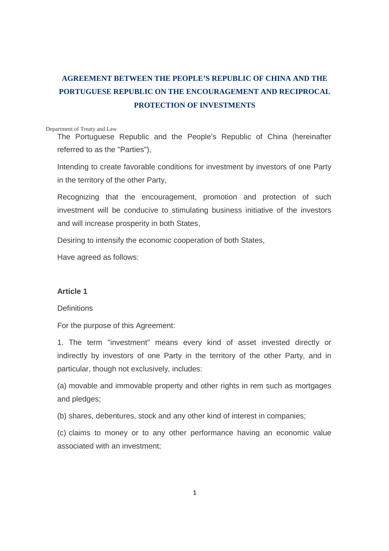# **AGREEMENT BETWEEN THE PEOPLE'S REPUBLIC OF CHINA AND THE PORTUGUESE REPUBLIC ON THE ENCOURAGEMENT AND RECIPROCAL PROTECTION OF INVESTMENTS**

#### Department of Treaty and Law

The Portuguese Republic and the People's Republic of China (hereinafter referred to as the "Parties"),

Intending to create favorable conditions for investment by investors of one Party in the territory of the other Party,

Recognizing that the encouragement, promotion and protection of such investment will be conducive to stimulating business initiative of the investors and will increase prosperity in both States,

Desiring to intensify the economic cooperation of both States,

Have agreed as follows:

### **Article 1**

### **Definitions**

For the purpose of this Agreement:

1. The term "investment" means every kind of asset invested directly or indirectly by investors of one Party in the territory of the other Party, and in particular, though not exclusively, includes:

(a) movable and immovable property and other rights in rem such as mortgages and pledges;

(b) shares, debentures, stock and any other kind of interest in companies;

(c) claims to money or to any other performance having an economic value associated with an investment;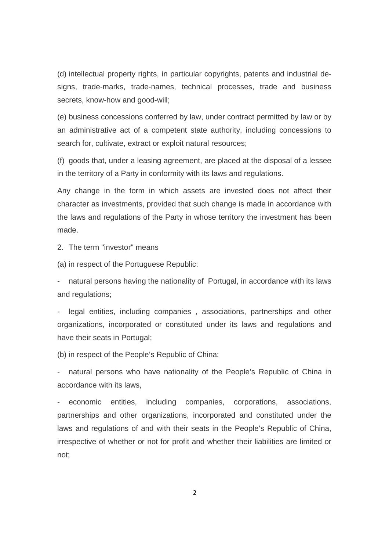(d) intellectual property rights, in particular copyrights, patents and industrial designs, trade-marks, trade-names, technical processes, trade and business secrets, know-how and good-will;

(e) business concessions conferred by law, under contract permitted by law or by an administrative act of a competent state authority, including concessions to search for, cultivate, extract or exploit natural resources;

(f) goods that, under a leasing agreement, are placed at the disposal of a lessee in the territory of a Party in conformity with its laws and regulations.

Any change in the form in which assets are invested does not affect their character as investments, provided that such change is made in accordance with the laws and regulations of the Party in whose territory the investment has been made.

2. The term "investor" means

(a) in respect of the Portuguese Republic:

natural persons having the nationality of Portugal, in accordance with its laws and regulations;

legal entities, including companies, associations, partnerships and other organizations, incorporated or constituted under its laws and regulations and have their seats in Portugal;

(b) in respect of the People's Republic of China:

natural persons who have nationality of the People's Republic of China in accordance with its laws,

economic entities, including companies, corporations, associations, partnerships and other organizations, incorporated and constituted under the laws and regulations of and with their seats in the People's Republic of China, irrespective of whether or not for profit and whether their liabilities are limited or not;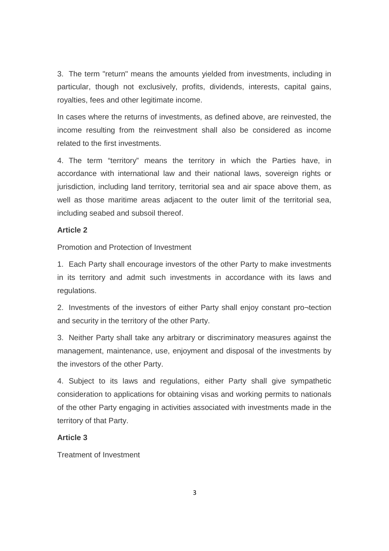3. The term "return" means the amounts yielded from investments, including in particular, though not exclusively, profits, dividends, interests, capital gains, royalties, fees and other legitimate income.

In cases where the returns of investments, as defined above, are reinvested, the income resulting from the reinvestment shall also be considered as income related to the first investments.

4. The term "territory" means the territory in which the Parties have, in accordance with international law and their national laws, sovereign rights or jurisdiction, including land territory, territorial sea and air space above them, as well as those maritime areas adjacent to the outer limit of the territorial sea, including seabed and subsoil thereof.

#### **Article 2**

Promotion and Protection of Investment

1. Each Party shall encourage investors of the other Party to make investments in its territory and admit such investments in accordance with its laws and regulations.

2. Investments of the investors of either Party shall enjoy constant pro¬tection and security in the territory of the other Party.

3. Neither Party shall take any arbitrary or discriminatory measures against the management, maintenance, use, enjoyment and disposal of the investments by the investors of the other Party.

4. Subject to its laws and regulations, either Party shall give sympathetic consideration to applications for obtaining visas and working permits to nationals of the other Party engaging in activities associated with investments made in the territory of that Party.

### **Article 3**

Treatment of Investment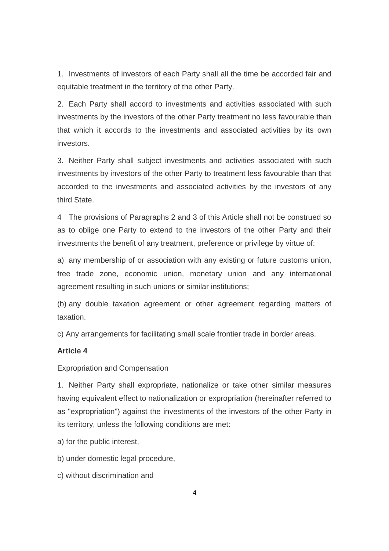1. Investments of investors of each Party shall all the time be accorded fair and equitable treatment in the territory of the other Party.

2. Each Party shall accord to investments and activities associated with such investments by the investors of the other Party treatment no less favourable than that which it accords to the investments and associated activities by its own investors.

3. Neither Party shall subject investments and activities associated with such investments by investors of the other Party to treatment less favourable than that accorded to the investments and associated activities by the investors of any third State.

4 The provisions of Paragraphs 2 and 3 of this Article shall not be construed so as to oblige one Party to extend to the investors of the other Party and their investments the benefit of any treatment, preference or privilege by virtue of:

a) any membership of or association with any existing or future customs union, free trade zone, economic union, monetary union and any international agreement resulting in such unions or similar institutions;

(b) any double taxation agreement or other agreement regarding matters of taxation.

c) Any arrangements for facilitating small scale frontier trade in border areas.

### **Article 4**

Expropriation and Compensation

1. Neither Party shall expropriate, nationalize or take other similar measures having equivalent effect to nationalization or expropriation (hereinafter referred to as "expropriation") against the investments of the investors of the other Party in its territory, unless the following conditions are met:

- a) for the public interest,
- b) under domestic legal procedure,
- c) without discrimination and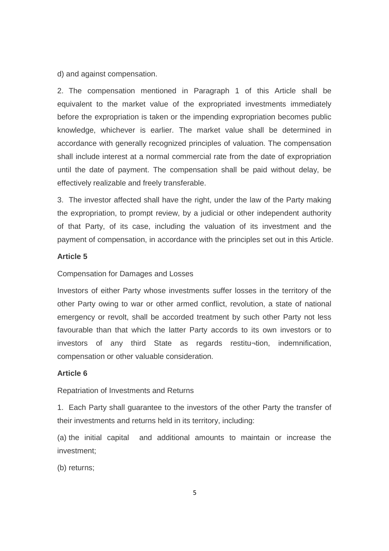d) and against compensation.

2. The compensation mentioned in Paragraph 1 of this Article shall be equivalent to the market value of the expropriated investments immediately before the expropriation is taken or the impending expropriation becomes public knowledge, whichever is earlier. The market value shall be determined in accordance with generally recognized principles of valuation. The compensation shall include interest at a normal commercial rate from the date of expropriation until the date of payment. The compensation shall be paid without delay, be effectively realizable and freely transferable.

3. The investor affected shall have the right, under the law of the Party making the expropriation, to prompt review, by a judicial or other independent authority of that Party, of its case, including the valuation of its investment and the payment of compensation, in accordance with the principles set out in this Article.

### **Article 5**

#### Compensation for Damages and Losses

Investors of either Party whose investments suffer losses in the territory of the other Party owing to war or other armed conflict, revolution, a state of national emergency or revolt, shall be accorded treatment by such other Party not less favourable than that which the latter Party accords to its own investors or to investors of any third State as regards restitu¬tion, indemnification, compensation or other valuable consideration.

#### **Article 6**

Repatriation of Investments and Returns

1. Each Party shall guarantee to the investors of the other Party the transfer of their investments and returns held in its territory, including:

(a) the initial capital and additional amounts to maintain or increase the investment;

(b) returns;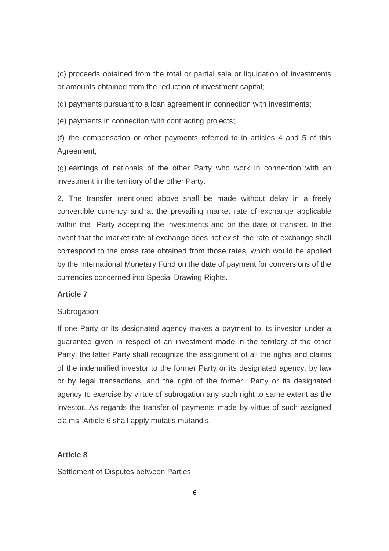(c) proceeds obtained from the total or partial sale or liquidation of investments or amounts obtained from the reduction of investment capital;

(d) payments pursuant to a loan agreement in connection with investments;

(e) payments in connection with contracting projects;

(f) the compensation or other payments referred to in articles 4 and 5 of this Agreement;

(g) earnings of nationals of the other Party who work in connection with an investment in the territory of the other Party.

2. The transfer mentioned above shall be made without delay in a freely convertible currency and at the prevailing market rate of exchange applicable within the Party accepting the investments and on the date of transfer. In the event that the market rate of exchange does not exist, the rate of exchange shall correspond to the cross rate obtained from those rates, which would be applied by the International Monetary Fund on the date of payment for conversions of the currencies concerned into Special Drawing Rights.

### **Article 7**

#### **Subrogation**

If one Party or its designated agency makes a payment to its investor under a guarantee given in respect of an investment made in the territory of the other Party, the latter Party shall recognize the assignment of all the rights and claims of the indemnified investor to the former Party or its designated agency, by law or by legal transactions, and the right of the former Party or its designated agency to exercise by virtue of subrogation any such right to same extent as the investor. As regards the transfer of payments made by virtue of such assigned claims, Article 6 shall apply mutatis mutandis.

### **Article 8**

Settlement of Disputes between Parties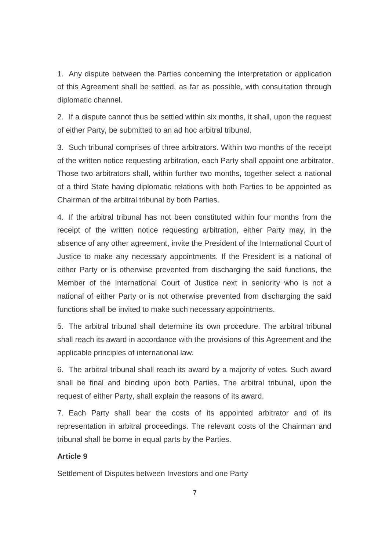1. Any dispute between the Parties concerning the interpretation or application of this Agreement shall be settled, as far as possible, with consultation through diplomatic channel.

2. If a dispute cannot thus be settled within six months, it shall, upon the request of either Party, be submitted to an ad hoc arbitral tribunal.

3. Such tribunal comprises of three arbitrators. Within two months of the receipt of the written notice requesting arbitration, each Party shall appoint one arbitrator. Those two arbitrators shall, within further two months, together select a national of a third State having diplomatic relations with both Parties to be appointed as Chairman of the arbitral tribunal by both Parties.

4. If the arbitral tribunal has not been constituted within four months from the receipt of the written notice requesting arbitration, either Party may, in the absence of any other agreement, invite the President of the International Court of Justice to make any necessary appointments. If the President is a national of either Party or is otherwise prevented from discharging the said functions, the Member of the International Court of Justice next in seniority who is not a national of either Party or is not otherwise prevented from discharging the said functions shall be invited to make such necessary appointments.

5. The arbitral tribunal shall determine its own procedure. The arbitral tribunal shall reach its award in accordance with the provisions of this Agreement and the applicable principles of international law.

6. The arbitral tribunal shall reach its award by a majority of votes. Such award shall be final and binding upon both Parties. The arbitral tribunal, upon the request of either Party, shall explain the reasons of its award.

7. Each Party shall bear the costs of its appointed arbitrator and of its representation in arbitral proceedings. The relevant costs of the Chairman and tribunal shall be borne in equal parts by the Parties.

### **Article 9**

Settlement of Disputes between Investors and one Party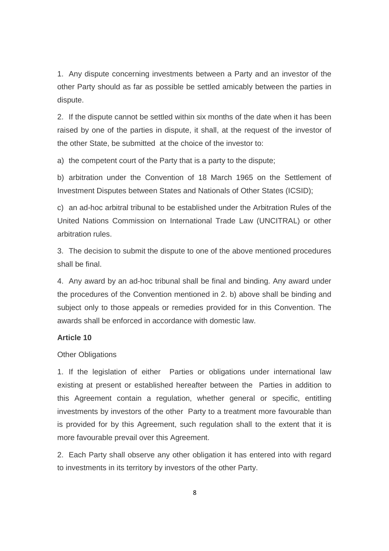1. Any dispute concerning investments between a Party and an investor of the other Party should as far as possible be settled amicably between the parties in dispute.

2. If the dispute cannot be settled within six months of the date when it has been raised by one of the parties in dispute, it shall, at the request of the investor of the other State, be submitted at the choice of the investor to:

a) the competent court of the Party that is a party to the dispute;

b) arbitration under the Convention of 18 March 1965 on the Settlement of Investment Disputes between States and Nationals of Other States (ICSID);

c) an ad-hoc arbitral tribunal to be established under the Arbitration Rules of the United Nations Commission on International Trade Law (UNCITRAL) or other arbitration rules.

3. The decision to submit the dispute to one of the above mentioned procedures shall be final.

4. Any award by an ad-hoc tribunal shall be final and binding. Any award under the procedures of the Convention mentioned in 2. b) above shall be binding and subject only to those appeals or remedies provided for in this Convention. The awards shall be enforced in accordance with domestic law.

### **Article 10**

#### **Other Obligations**

1. If the legislation of either Parties or obligations under international law existing at present or established hereafter between the Parties in addition to this Agreement contain a regulation, whether general or specific, entitling investments by investors of the other Party to a treatment more favourable than is provided for by this Agreement, such regulation shall to the extent that it is more favourable prevail over this Agreement.

2. Each Party shall observe any other obligation it has entered into with regard to investments in its territory by investors of the other Party.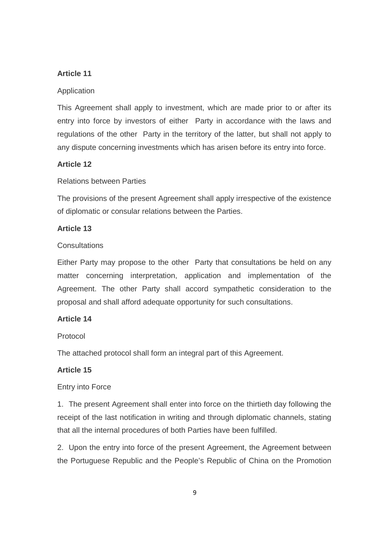### **Article 11**

### Application

This Agreement shall apply to investment, which are made prior to or after its entry into force by investors of either Party in accordance with the laws and regulations of the other Party in the territory of the latter, but shall not apply to any dispute concerning investments which has arisen before its entry into force.

### **Article 12**

### Relations between Parties

The provisions of the present Agreement shall apply irrespective of the existence of diplomatic or consular relations between the Parties.

### **Article 13**

### **Consultations**

Either Party may propose to the other Party that consultations be held on any matter concerning interpretation, application and implementation of the Agreement. The other Party shall accord sympathetic consideration to the proposal and shall afford adequate opportunity for such consultations.

### **Article 14**

### Protocol

The attached protocol shall form an integral part of this Agreement.

### **Article 15**

### Entry into Force

1. The present Agreement shall enter into force on the thirtieth day following the receipt of the last notification in writing and through diplomatic channels, stating that all the internal procedures of both Parties have been fulfilled.

2. Upon the entry into force of the present Agreement, the Agreement between the Portuguese Republic and the People's Republic of China on the Promotion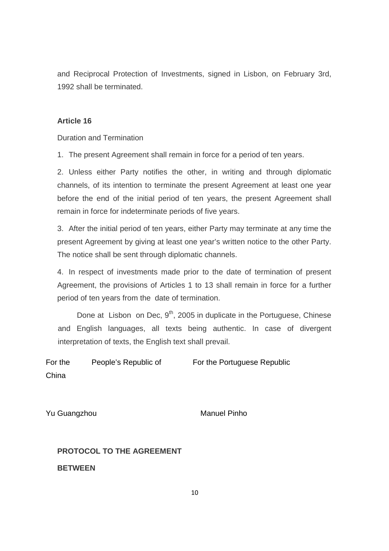and Reciprocal Protection of Investments, signed in Lisbon, on February 3rd, 1992 shall be terminated.

### **Article 16**

Duration and Termination

1. The present Agreement shall remain in force for a period of ten years.

2. Unless either Party notifies the other, in writing and through diplomatic channels, of its intention to terminate the present Agreement at least one year before the end of the initial period of ten years, the present Agreement shall remain in force for indeterminate periods of five years.

3. After the initial period of ten years, either Party may terminate at any time the present Agreement by giving at least one year's written notice to the other Party. The notice shall be sent through diplomatic channels.

4. In respect of investments made prior to the date of termination of present Agreement, the provisions of Articles 1 to 13 shall remain in force for a further period of ten years from the date of termination.

Done at Lisbon on Dec,  $9<sup>th</sup>$ , 2005 in duplicate in the Portuguese, Chinese and English languages, all texts being authentic. In case of divergent interpretation of texts, the English text shall prevail.

For the People's Republic of China For the Portuguese Republic

Yu Guangzhou **Manuel Pinho** 

**PROTOCOL TO THE AGREEMENT** 

**BETWEEN**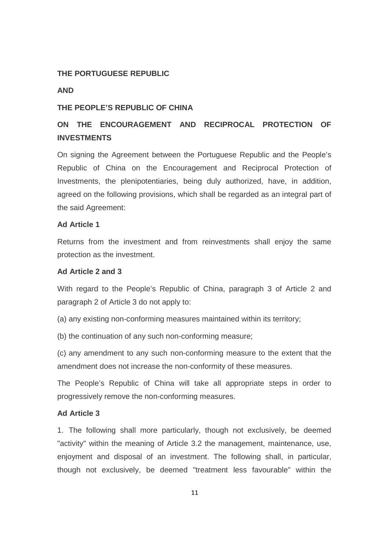### **THE PORTUGUESE REPUBLIC**

#### **AND**

### **THE PEOPLE'S REPUBLIC OF CHINA**

## **ON THE ENCOURAGEMENT AND RECIPROCAL PROTECTION OF INVESTMENTS**

On signing the Agreement between the Portuguese Republic and the People's Republic of China on the Encouragement and Reciprocal Protection of Investments, the plenipotentiaries, being duly authorized, have, in addition, agreed on the following provisions, which shall be regarded as an integral part of the said Agreement:

#### **Ad Article 1**

Returns from the investment and from reinvestments shall enjoy the same protection as the investment.

### **Ad Article 2 and 3**

With regard to the People's Republic of China, paragraph 3 of Article 2 and paragraph 2 of Article 3 do not apply to:

(a) any existing non-conforming measures maintained within its territory;

(b) the continuation of any such non-conforming measure;

(c) any amendment to any such non-conforming measure to the extent that the amendment does not increase the non-conformity of these measures.

The People's Republic of China will take all appropriate steps in order to progressively remove the non-conforming measures.

### **Ad Article 3**

1. The following shall more particularly, though not exclusively, be deemed "activity" within the meaning of Article 3.2 the management, maintenance, use, enjoyment and disposal of an investment. The following shall, in particular, though not exclusively, be deemed "treatment less favourable" within the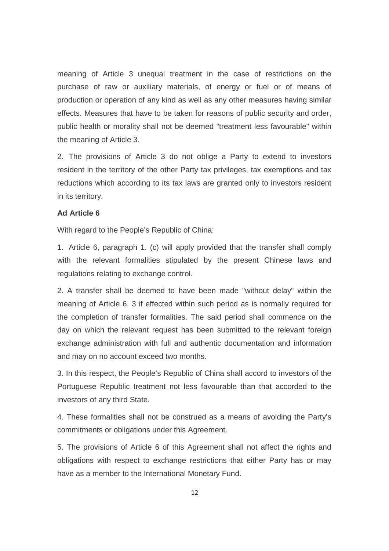meaning of Article 3 unequal treatment in the case of restrictions on the purchase of raw or auxiliary materials, of energy or fuel or of means of production or operation of any kind as well as any other measures having similar effects. Measures that have to be taken for reasons of public security and order, public health or morality shall not be deemed "treatment less favourable" within the meaning of Article 3.

2. The provisions of Article 3 do not oblige a Party to extend to investors resident in the territory of the other Party tax privileges, tax exemptions and tax reductions which according to its tax laws are granted only to investors resident in its territory.

### **Ad Article 6**

With regard to the People's Republic of China:

1. Article 6, paragraph 1. (c) will apply provided that the transfer shall comply with the relevant formalities stipulated by the present Chinese laws and regulations relating to exchange control.

2. A transfer shall be deemed to have been made "without delay" within the meaning of Article 6. 3 if effected within such period as is normally required for the completion of transfer formalities. The said period shall commence on the day on which the relevant request has been submitted to the relevant foreign exchange administration with full and authentic documentation and information and may on no account exceed two months.

3. In this respect, the People's Republic of China shall accord to investors of the Portuguese Republic treatment not less favourable than that accorded to the investors of any third State.

4. These formalities shall not be construed as a means of avoiding the Party's commitments or obligations under this Agreement.

5. The provisions of Article 6 of this Agreement shall not affect the rights and obligations with respect to exchange restrictions that either Party has or may have as a member to the International Monetary Fund.